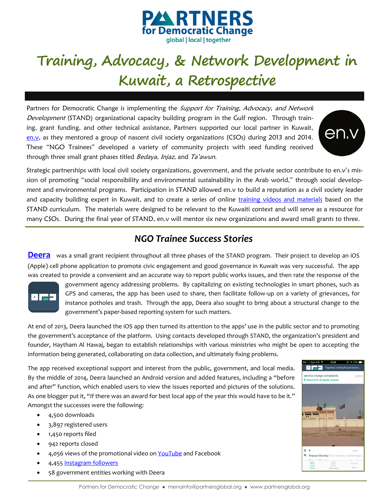

## **Training, Advocacy, & Network Development in Kuwait, a Retrospective**

Partners for Democratic Change is implementing the Support for Training, Advocacy, and Network Development (STAND) organizational capacity building program in the Gulf region. Through training, grant funding, and other technical assistance, Partners supported our local partner in Kuwait, [en.v,](http://www.socialprograms.envearth.com) as they mentored a group of nascent civil society organizations (CSOs) during 2013 and 2014. These "NGO Trainees" developed a variety of community projects with seed funding received through three small grant phases titled Bedaya, Injaz, and Ta'awun.



Strategic partnerships with local civil society organizations, government, and the private sector contribute to en.v's mission of promoting "social responsibility and environmental sustainability in the Arab world," through social development and environmental programs. Participation in STAND allowed en.v to build a reputation as a civil society leader and capacity building expert in Kuwait, and to create a series of online [training videos and materials](http://www.socialprograms.envearth.com/program_post_type/toolkit/) based on the STAND curriculum. The materials were designed to be relevant to the Kuwaiti context and will serve as a resource for many CSOs. During the final year of STAND, en.v will mentor six new organizations and award small grants to three.

## *NGO Trainee Success Stories*

**[Deera](http://www.deera.com.kw/website/index.php)** was a small grant recipient throughout all three phases of the STAND program. Their project to develop an iOS (Apple) cell phone application to promote civic engagement and good governance in Kuwait was very successful. The app was created to provide a convenient and an accurate way to report public works issues, and then rate the response of the



government agency addressing problems. By capitalizing on existing technologies in smart phones, such as GPS and cameras, the app has been used to share, then facilitate follow-up on a variety of grievances, for instance potholes and trash. Through the app, Deera also sought to bring about a structural change to the government's paper-based reporting system for such matters.

At end of 2013, Deera launched the iOS app then turned its attention to the apps' use in the public sector and to promoting the government's acceptance of the platform. Using contacts developed through STAND, the organization's president and founder, Haytham Al Hawaj, began to establish relationships with various ministries who might be open to accepting the information being generated, collaborating on data collection, and ultimately fixing problems.

The app received exceptional support and interest from the public, government, and local media. By the middle of 2014, Deera launched an Android version and added features, including a "before and after" function, which enabled users to view the issues reported and pictures of the solutions. As one blogger put it, "If there was an award for best local app of the year this would have to be it." Amongst the successes were the following:

- 4,500 downloads
- 3,897 registered users
- 1,450 reports filed
- 942 reports closed
- 4,056 views of the promotional video on [YouTube](https://www.youtube.com/watch?v=EC9KXzN1krc&feature=youtu.be) and Facebook
- 4,455 [Instagram followers](http://instagram.com/deerakw)
- 58 government entities working with Deera